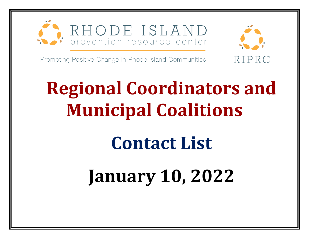



Promoting Positive Change in Rhode Island Communities

## **Regional Coordinators and Municipal Coalitions**

## **Contact List**

## **January 10, 2022**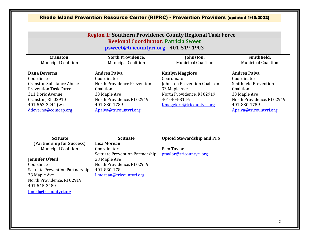| <b>Region 1: Southern Providence County Regional Task Force</b><br><b>Regional Coordinator: Patricia Sweet</b><br>psweet@tricountyri.org 401-519-1903                                                                                                 |                                                                                                                                                                                        |                                                                                                                                                                           |                                                                                                                                                                         |  |
|-------------------------------------------------------------------------------------------------------------------------------------------------------------------------------------------------------------------------------------------------------|----------------------------------------------------------------------------------------------------------------------------------------------------------------------------------------|---------------------------------------------------------------------------------------------------------------------------------------------------------------------------|-------------------------------------------------------------------------------------------------------------------------------------------------------------------------|--|
| Cranston:<br><b>Municipal Coalition</b>                                                                                                                                                                                                               | <b>North Providence:</b><br><b>Municipal Coalition</b>                                                                                                                                 | Johnston:<br><b>Municipal Coalition</b>                                                                                                                                   | Smithfield:<br><b>Municipal Coalition</b>                                                                                                                               |  |
| Dana Deverna<br>Coordinator<br><b>Cranston Substance Abuse</b><br><b>Prevention Task Force</b><br>311 Doric Avenue<br>Cranston, RI 02910<br>401-562-2244 (w)<br>ddeverna@comcap.org                                                                   | <b>Andrea Paiva</b><br>Coordinator<br>North Providence Prevention<br>Coalition<br>33 Maple Ave<br>North Providence, RI 02919<br>401-830-1789<br>Apaiva@tricountyri.org                 | <b>Kaitlyn Maggiore</b><br>Coordinator<br><b>Johnston Prevention Coalition</b><br>33 Maple Ave<br>North Providence, RI 02919<br>401-404-3146<br>Kmaggiore@tricountyri.org | <b>Andrea Paiva</b><br>Coordinator<br><b>Smithfield Prevention</b><br>Coalition<br>33 Maple Ave<br>North Providence, RI 02919<br>401-830-1789<br>Apaiva@tricountyri.org |  |
| <b>Scituate</b><br>(Partnership for Success)<br><b>Municipal Coalition</b><br><b>Jennifer O'Neil</b><br>Coordinator<br><b>Scituate Prevention Partnership</b><br>33 Maple Ave<br>North Providence, RI 02919<br>401-515-2480<br>Joneil@tricountyri.org | <b>Scituate</b><br><b>Lisa Moreau</b><br>Coordinator<br><b>Scituate Prevention Partnership</b><br>33 Maple Ave<br>North Providence, RI 02919<br>401-830-178<br>Lmoreau@tricountyri.org | <b>Opioid Stewardship and PFS</b><br>Pam Taylor<br>ptaylor@tricountyri.org                                                                                                |                                                                                                                                                                         |  |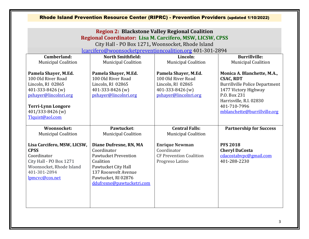|                                                                                                                                                    | Regional Coordinator: Lisa M. Carcifero, MSW, LICSW, CPSS<br>lcarcifero@woonsocketpreventioncoalition.org 401-301-2894                                                               | <b>Region 2: Blackstone Valley Regional Coalition</b><br>City Hall - PO Box 1271, Woonsocket, Rhode Island |                                                                                          |
|----------------------------------------------------------------------------------------------------------------------------------------------------|--------------------------------------------------------------------------------------------------------------------------------------------------------------------------------------|------------------------------------------------------------------------------------------------------------|------------------------------------------------------------------------------------------|
| Cumberland:                                                                                                                                        | <b>North Smithfield:</b>                                                                                                                                                             | Lincoln:                                                                                                   | <b>Burrillville:</b>                                                                     |
| <b>Municipal Coalition</b>                                                                                                                         | <b>Municipal Coalition</b>                                                                                                                                                           | <b>Municipal Coalition</b>                                                                                 | <b>Municipal Coalition</b>                                                               |
| Pamela Shayer, M.Ed.<br>100 Old River Road<br>Lincoln, RI 02865                                                                                    | Pamela Shayer, M.Ed.<br>100 Old River Road<br>Lincoln, RI 02865                                                                                                                      | Pamela Shayer, M.Ed.<br>100 Old River Road<br>Lincoln, RI 02865                                            | Monica A. Blanchette, M.A.,<br><b>CSAC, RDT</b><br><b>Burrillville Police Department</b> |
| 401-333-8426 (w)<br>pshayer@lincolnri.org<br><b>Terri-Lynn Longore</b>                                                                             | 401-333-8426 (w)<br>pshayer@lincolnri.org                                                                                                                                            | 401-333-8426 (w)<br>pshayer@lincolnri.org                                                                  | 1477 Victory Highway<br>P.O. Box 231<br>Harrisville, R.I. 02830<br>401-710-7996          |
| 401/333-8426 (w)<br>Tlquist@aol.com                                                                                                                |                                                                                                                                                                                      |                                                                                                            | mblanchette@burrillville.org                                                             |
| Woonsocket:<br><b>Municipal Coalition</b>                                                                                                          | Pawtucket:<br><b>Municipal Coalition</b>                                                                                                                                             | <b>Central Falls:</b><br><b>Municipal Coalition</b>                                                        | <b>Partnership for Success</b>                                                           |
| Lisa Carcifero, MSW, LICSW,<br><b>CPSS</b><br>Coordinator<br>City Hall - PO Box 1271<br>Woonsocket, Rhode Island<br>401-301-2894<br>lpmcvc@cox.net | Diane Dufresne, RN, MA<br>Coordinator<br><b>Pawtucket Prevention</b><br>Coalition<br>Pawtucket City Hall<br>137 Roosevelt Avenue<br>Pawtucket, RI 02876<br>ddufresne@pawtucketri.com | <b>Enrique Newman</b><br>Coordinator<br><b>CF Prevention Coalition</b><br>Progreso Latino                  | <b>PFS 2018</b><br><b>Cheryl DaCosta</b><br>cdacostabvpc@gmail.com<br>401-288-2230       |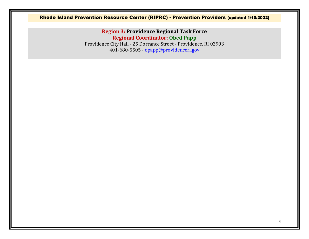## Rhode Island Prevention Resource Center (RIPRC) - Prevention Providers (updated 1/10/2022)

**Region 3: Providence Regional Task Force Regional Coordinator: Obed Papp** Providence City Hall **-** 25 Dorrance Street **-** Providence, RI 02903

401-680-5505 - [opapp@providenceri.gov](mailto:opapp@providenceri.gov)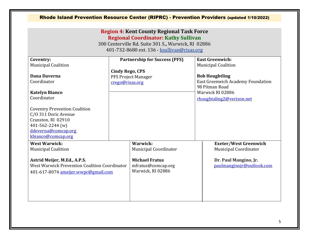|                                                                                                                                                                                                                                                 |                                           | <b>Region 4: Kent County Regional Task Force</b><br><b>Regional Coordinator: Kathy Sullivan</b><br>300 Centerville Rd. Suite 301 S., Warwick, RI 02886<br>401-732-8680 ext. 136 - ksullivan@risas.org |                                                                                                                                                                                       |
|-------------------------------------------------------------------------------------------------------------------------------------------------------------------------------------------------------------------------------------------------|-------------------------------------------|-------------------------------------------------------------------------------------------------------------------------------------------------------------------------------------------------------|---------------------------------------------------------------------------------------------------------------------------------------------------------------------------------------|
| Coventry:<br><b>Municipal Coalition</b><br>Dana Daverna<br>Coordinator<br><b>Katelyn Bianco</b><br>Coordinator<br><b>Coventry Prevention Coalition</b><br>C/O 311 Doric Avenue<br>Cranston, RI 02910<br>401-562-2244 (w)<br>ddeverna@comcap.org | <b>Cindy Rego, CPS</b><br>crego@risas.org | <b>Partnership for Success (PFS)</b><br>PFS Project Manager                                                                                                                                           | <b>East Greenwich:</b><br><b>Municipal Coalition</b><br><b>Bob Houghtling</b><br>East Greenwich Academy Foundation<br>98 Pitman Road<br>Warwick RI 02886<br>rhoughtaling2@verizon.net |
| kbianco@comcap.org<br><b>West Warwick:</b><br><b>Municipal Coalition</b><br>Astrid Meijer, M.Ed., A.P.S.<br><b>West Warwick Prevention Coalition Coordinator</b><br>401-617-8074 ameijer.wwpc@gmail.com                                         |                                           | Warwick:<br><b>Municipal Coordinator</b><br><b>Michael Fratus</b><br>mfratus@comcap.org<br>Warwick, RI 02886                                                                                          | <b>Exeter/West Greenwich</b><br><b>Municipal Coordinator</b><br>Dr. Paul Mangino, Jr.<br>paulmanginojr@outlook.com                                                                    |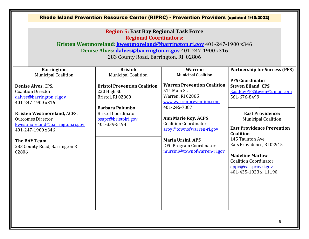|                                                                                                                                                                                                                                                                                                                                           | Rhode Island Prevention Resource Center (RIPRC) - Prevention Providers (updated 1/10/2022)<br><b>Region 5: East Bay Regional Task Force</b><br><b>Regional Coordinators:</b><br>Kristen Westmoreland: kwestmoreland@barrington.ri.gov 401-247-1900 x346<br>Denise Alves: dalves@barrington.ri.gov 401-247-1900 x316<br>283 County Road, Barrington, RI 02806 |                                                                                                                                                                                                                                                                                                                                             |                                                                                                                                                                                                                                                                                                                                                                                                                 |
|-------------------------------------------------------------------------------------------------------------------------------------------------------------------------------------------------------------------------------------------------------------------------------------------------------------------------------------------|--------------------------------------------------------------------------------------------------------------------------------------------------------------------------------------------------------------------------------------------------------------------------------------------------------------------------------------------------------------|---------------------------------------------------------------------------------------------------------------------------------------------------------------------------------------------------------------------------------------------------------------------------------------------------------------------------------------------|-----------------------------------------------------------------------------------------------------------------------------------------------------------------------------------------------------------------------------------------------------------------------------------------------------------------------------------------------------------------------------------------------------------------|
| <b>Barrington:</b><br><b>Municipal Coalition</b><br>Denise Alves, CPS,<br><b>Coalition Director</b><br>dalves@barrington.ri.gov<br>401-247-1900 x316<br>Kristen Westmoreland, ACPS,<br><b>Outcomes Director</b><br>kwestmoreland@barrington.ri.gov<br>401-247-1900 x346<br><b>The BAY Team</b><br>283 County Road, Barrington RI<br>02806 | <b>Bristol:</b><br><b>Municipal Coalition</b><br><b>Bristol Prevention Coalition</b><br>220 High St.<br>Bristol, RI 02809<br><b>Barbara Palumbo</b><br><b>Bristol Coordinator</b><br>bsapc@bristolri.gov<br>401-339-5194                                                                                                                                     | Warren:<br><b>Municipal Coalition</b><br><b>Warren Prevention Coalition</b><br>514 Main St.<br>Warren, RI 02885<br>www.warrenprevention.com<br>401-245-7387<br><b>Ann Marie Roy, ACPS</b><br><b>Coalition Coordinator</b><br>aroy@townofwarren-ri.gov<br><b>Maria Ursini, APS</b><br>DFC Program Coordinator<br>mursini@townofwarren-ri.gov | <b>Partnership for Success (PFS)</b><br><b>PFS Coordinator</b><br><b>Steven Eiland, CPS</b><br>EastBayPFSSteven@gmail.com<br>561-676-8499<br><b>East Providence:</b><br><b>Municipal Coalition</b><br><b>East Providence Prevention</b><br>Coalition<br>145 Taunton Ave.<br>Eats Providence, RI 02915<br><b>Madeline Marlow</b><br><b>Coalition Coordinator</b><br>eppc@eastprovri.gov<br>401-435-1923 x, 11190 |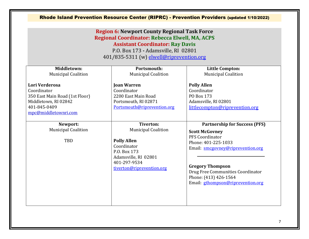|                                                                                                                                 | <b>Region 6: Newport County Regional Task Force</b><br>Regional Coordinator: Rebecca Elwell, MA, ACPS<br><b>Assistant Coordinator: Ray Davis</b><br>P.O. Box 173 - Adamsville, RI 02801<br>401/835-5311 (w) elwell@riprevention.org | Rhode Island Prevention Resource Center (RIPRC) - Prevention Providers (updated 1/10/2022)                                                                                                                                                                                 |
|---------------------------------------------------------------------------------------------------------------------------------|-------------------------------------------------------------------------------------------------------------------------------------------------------------------------------------------------------------------------------------|----------------------------------------------------------------------------------------------------------------------------------------------------------------------------------------------------------------------------------------------------------------------------|
| Middletown:<br><b>Municipal Coalition</b>                                                                                       | Portsmouth:<br><b>Municipal Coalition</b>                                                                                                                                                                                           | <b>Little Compton:</b><br><b>Municipal Coalition</b>                                                                                                                                                                                                                       |
| Lori Verderosa<br>Coordinator<br>350 East Main Road (1st Floor)<br>Middletown, RI 02842<br>401-845-0409<br>mpc@middletownri.com | <b>Joan Warren</b><br>Coordinator<br>2200 East Main Road<br>Portsmouth, RI 02871<br>Portsmouth@riprevention.org                                                                                                                     | <b>Polly Allen</b><br>Coordinator<br>PO Box 173<br>Adamsville, RI 02801<br>littlecompton@riprevention.org                                                                                                                                                                  |
| Newport:<br><b>Municipal Coalition</b><br>TBD                                                                                   | <b>Tiverton:</b><br><b>Municipal Coalition</b><br><b>Polly Allen</b><br>Coordinator<br>P.O. Box 173<br>Adamsville, RI 02801<br>401-297-9534<br>tiverton@riprevention.org                                                            | <b>Partnership for Success (PFS)</b><br><b>Scott McGovney</b><br>PFS Coordinator<br>Phone: 401-225-1033<br>Email: smcgovney@riprevention.org<br><b>Gregory Thompson</b><br>Drug Free Communities Coordinator<br>Phone: (413) 426-1564<br>Email: gthompson@riprevention.org |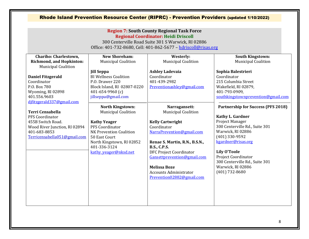|                                                                                                                               |                                                                                                                                                | <b>Region 7: South County Regional Task Force</b><br><b>Regional Coordinator: Heidi Driscoll</b><br>300 Centerville Road Suite 301 S Warwick, RI 02886<br>Office: 401-732-8680, Cell: 401-862-5677 - hdriscoll@risas.org |                                                                                                                                         |
|-------------------------------------------------------------------------------------------------------------------------------|------------------------------------------------------------------------------------------------------------------------------------------------|--------------------------------------------------------------------------------------------------------------------------------------------------------------------------------------------------------------------------|-----------------------------------------------------------------------------------------------------------------------------------------|
| <b>Chariho: Charlestown,</b><br><b>Richmond, and Hopkinton:</b><br><b>Municipal Coalition</b>                                 | <b>New Shoreham:</b><br><b>Municipal Coalition</b>                                                                                             | Westerly:<br><b>Municipal Coalition</b>                                                                                                                                                                                  | <b>South Kingstown:</b><br><b>Municipal Coalition</b>                                                                                   |
| <b>Daniel Fitzgerald</b><br>Coordinator<br>P.O. Box 780<br>Wyoming, RI 02898<br>401.556.9603                                  | <b>Jill Seppa</b><br><b>BI Wellness Coalition</b><br>P.O. Drawer 220<br>Block Island, RI 02807-0220<br>401-654-9960 (c)<br>jillseppa@gmail.com | <b>Ashley Ladevaia</b><br>Coordinator<br>401-439-2982<br>Preventionashlev@gmail.com                                                                                                                                      | Sophia Balestrieri<br>Coordinator<br>215 Columbia Street<br>Wakefield, RI 02879,<br>401-793-0909,<br>southkingstownprevention@gmail.com |
| difitzgerald337@gmail.com<br><b>Terri Censabella</b><br>PFS Coordinator<br>455B Switch Road.<br>Wood River Junction, RI 02894 | North Kingstown:<br><b>Municipal Coalition</b><br><b>Kathy Yeager</b><br>PFS Coordinator                                                       | Narragansett:<br><b>Municipal Coalition</b><br><b>Kelly Cartwright</b><br>Coordinator                                                                                                                                    | <b>Partnership for Success (PFS 2018)</b><br><b>Kathy L. Gardner</b><br>Project Manager<br>300 Centerville Rd., Suite 301               |
| 401-683-8853<br>Terricensabella051@gmail.com                                                                                  | NK Prevention Coalition<br>50 East Court<br>North Kingstown, RI 02852<br>401-336-3124                                                          | NarraPrevention@gmail.com<br>Renae S. Martin, R.N., B.S.N.,<br><b>B.S., C.P.S.</b>                                                                                                                                       | Warwick, RI 02886<br>(401) 330-9592<br>kgardner@risas.org                                                                               |
|                                                                                                                               | kathy yeager@nksd.net                                                                                                                          | <b>DFC Project Coordinator</b><br>Gansettprevention@gmail.com<br><b>Melissa Boze</b><br><b>Accounts Administrator</b><br>Prevention02882@gmail.com                                                                       | <b>Lily O'Toole</b><br><b>Project Coordinator</b><br>300 Centerville Rd., Suite 301<br>Warwick, RI 02886<br>$(401)$ 732-8680            |